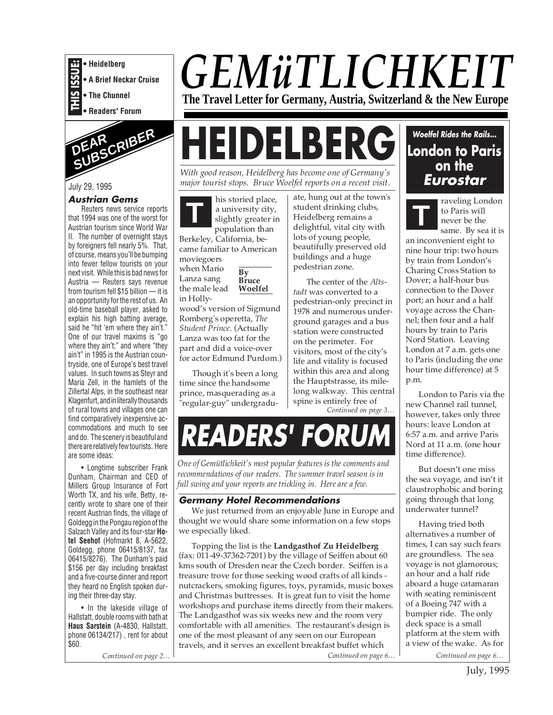



#### July 29, 1995

#### **Austrian Gems**

Reuters news service reports that 1994 was one of the worst for Austrian tourism since World War II. The number of overnight stays by foreigners fell nearly 5%. That, of course, means you'll be bumping into fewer fellow tourists on your next visit. While this is bad news for Austria — Reuters says revenue from tourism fell \$15 billion — it is an opportunity for the rest of us. An old-time baseball player, asked to explain his high batting average, said he "hit 'em where they ain't." One of our travel maxims is "go where they ain't;" and where "they ain't" in 1995 is the Austrian countryside, one of Europe's best travel values. In such towns as Steyr and Maria Zell, in the hamlets of the Zillertal Alps, in the southeast near Klagenfurt, and in literally thousands of rural towns and villages one can find comparatively inexpensive accommodations and much to see and do. The scenery is beautiful and there are relatively few tourists. Here are some ideas:

• Longtime subscriber Frank Dunham, Chairman and CEO of Millers Group Insurance of Fort Worth TX, and his wife, Betty, recently wrote to share one of their recent Austrian finds, the village of Goldegg in the Pongau region of the Salzach Valley and its four-star **Hotel Seehof** (Hofmarkt 8, A-5622, Goldegg, phone 06415/8137, fax 06415/8276). The Dunham's paid \$156 per day including breakfast and a five-course dinner and report they heard no English spoken during their three-day stay.

• In the lakeside village of Hallstatt, double rooms with bath at **Haus Sarstein** (A-4830, Hallstatt, phone 06134/217) , rent for about \$60.

# *GEMüTLICHKEIT* **The Travel Letter for Germany, Austria, Switzerland & the New Europe**

# **HEIDELBERG**

*With good reason, Heidelberg has become one of Germany's major tourist stops. Bruce Woelfel reports on a recent visit.*

his storied place,<br>a university city,<br>slightly greater in a university city, population than

Berkeley, California, became familiar to American moviegoers when Mario Lanza sang **By Bruce**

**Woelfel**

the male lead in Holly-

wood's version of Sigmund Romberg's operetta, *The Student Prince*. (Actually Lanza was too fat for the part and did a voice-over for actor Edmund Purdom.)

Though it's been a long time since the handsome prince, masquerading as a .<br>"regular-guy" undergraduate, hung out at the town's student drinking clubs, Heidelberg remains a delightful, vital city with lots of young people, beautifully preserved old buildings and a huge pedestrian zone.

The center of the *Altstadt* was converted to a pedestrian-only precinct in 1978 and numerous underground garages and a bus station were constructed on the perimeter. For visitors, most of the city's life and vitality is focused within this area and along the Hauptstrasse, its milelong walkway. This central spine is entirely free of

*Continued on page 3…*

# **READERS' FORUM**

*One of Gemütlichkeit's most popular features is the comments and recommendations of our readers. The summer travel season is in full swing and your reports are trickling in. Here are a few.*

#### **Germany Hotel Recommendations**

We just returned from an enjoyable June in Europe and thought we would share some information on a few stops we especially liked.

Topping the list is the **Landgasthof Zu Heidelberg** (fax:  $011-49-37362-7201$ ) by the village of Seiffen about  $60$ kms south of Dresden near the Czech border. Seiffen is a treasure trove for those seeking wood crafts of all kinds nutcrackers, smoking figures, toys, pyramids, music boxes and Christmas buttresses. It is great fun to visit the home workshops and purchase items directly from their makers. The Landgasthof was six weeks new and the room very comfortable with all amenities. The restaurant's design is one of the most pleasant of any seen on our European travels, and it serves an excellent breakfast buffet which

*Continued on page 2… Continued on page 6… Continued on page 6…*

# **Woelfel Rides the Rails... London to Paris on the Eurostar**

raveling London **T**

to Paris will never be the same. By sea it is an inconvenient eight to nine hour trip: two hours

by train from London's Charing Cross Station to Dover; a half-hour bus connection to the Dover port; an hour and a half voyage across the Channel; then four and a half hours by train to Paris Nord Station. Leaving London at 7 a.m. gets one to Paris (including the one hour time difference) at 5 p.m.

London to Paris via the new Channel rail tunnel, however, takes only three hours: leave London at 6:57 a.m. and arrive Paris Nord at 11 a.m. (one hour time difference).

But doesn't one miss the sea voyage, and isn't it claustrophobic and boring going through that long underwater tunnel?

Having tried both alternatives a number of times, I can say such fears are groundless. The sea voyage is not glamorous; an hour and a half ride aboard a huge catamaran with seating reminiscent of a Boeing 747 with a bumpier ride. The only deck space is a small platform at the stern with a view of the wake. As for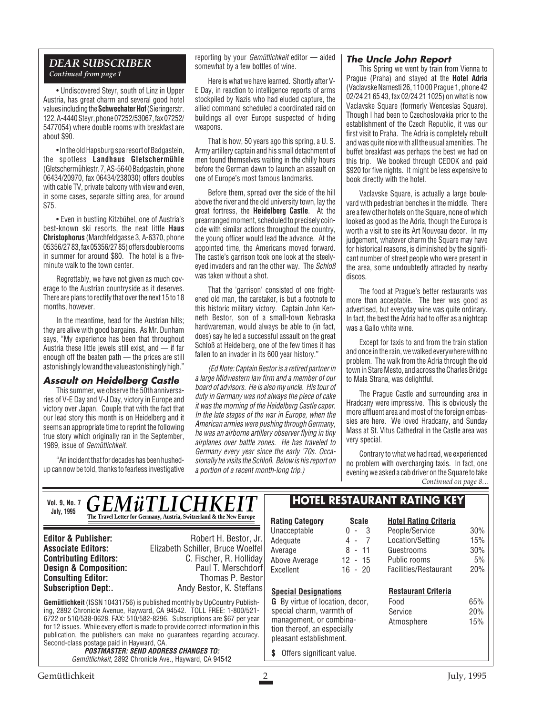#### *DEAR SUBSCRIBER Continued from page 1*

• Undiscovered Steyr, south of Linz in Upper Austria, has great charm and several good hotel values including the **Schwechater Hof**(Sieringerstr. 122, A-4440 Steyr, phone 07252/53067, fax 07252/ 5477054) where double rooms with breakfast are about \$90.

• In the old Hapsburg spa resort of Badgastein, the spotless **Landhaus Gletschermühle** (Gletschermühlestr. 7, AS-5640 Badgastein, phone 06434/20970, fax 06434/238030) offers doubles with cable TV, private balcony with view and even, in some cases, separate sitting area, for around \$75.

• Even in bustling Kitzbühel, one of Austria's best-known ski resorts, the neat little **Haus Christophorus** (Marchfeldgasse 3, A-6370, phone 05356/27 83, fax 05356/27 85) offers double rooms in summer for around \$80. The hotel is a fiveminute walk to the town center.

Regrettably, we have not given as much coverage to the Austrian countryside as it deserves. There are plans to rectify that over the next 15 to 18 months, however.

In the meantime, head for the Austrian hills; they are alive with good bargains. As Mr. Dunham says, "My experience has been that throughout Austria these little jewels still exist, and — if far enough off the beaten path — the prices are still astonishingly low and the value astonishingly high."

#### **Assault on Heidelberg Castle**

This summer, we observe the 50th anniversaries of V-E Day and V-J Day, victory in Europe and victory over Japan. Couple that with the fact that our lead story this month is on Heidelberg and it seems an appropriate time to reprint the following true story which originally ran in the September, 1989, issue of Gemütlichkeit.

"An incident that for decades has been hushedup can now be told, thanks to fearless investigative reporting by your Gemütlichkeit editor — aided somewhat by a few bottles of wine.

Here is what we have learned. Shortly after V-E Day, in reaction to intelligence reports of arms stockpiled by Nazis who had eluded capture, the allied command scheduled a coordinated raid on buildings all over Europe suspected of hiding weapons.

That is how, 50 years ago this spring, a U. S. Army artillery captain and his small detachment of men found themselves waiting in the chilly hours before the German dawn to launch an assault on one of Europe's most famous landmarks.

Before them, spread over the side of the hill above the river and the old university town, lay the great fortress, the **Heidelberg Castle**. At the prearranged moment, scheduled to precisely coincide with similar actions throughout the country, the young officer would lead the advance. At the appointed time, the Americans moved forward. The castle's garrison took one look at the steelyeyed invaders and ran the other way. The Schloß was taken without a shot.

That the 'garrison' consisted of one frightened old man, the caretaker, is but a footnote to this historic military victory. Captain John Kenneth Bestor, son of a small-town Nebraska hardwareman, would always be able to (in fact, does) say he led a successful assault on the great Schloß at Heidelberg, one of the few times it has fallen to an invader in its 600 year history."

(Ed Note: Captain Bestor is a retired partner in a large Midwestern law firm and a member of our board of advisors. He is also my uncle. His tour of duty in Germany was not always the piece of cake it was the morning of the Heidelberg Castle caper. In the late stages of the war in Europe, when the American armies were pushing through Germany, he was an airborne artillery observer flying in tiny airplanes over battle zones. He has traveled to Germany every year since the early '70s. Occasionally he visits the Schloß. Below is his report on a portion of a recent month-long trip.)

#### **The Uncle John Report**

This Spring we went by train from Vienna to Prague (Praha) and stayed at the **Hotel Adria** (Vaclavske Namesti 26, 110 00 Prague 1, phone 42 02/24 21 65 43, fax 02/24 21 1025) on what is now Vaclavske Square (formerly Wenceslas Square). Though I had been to Czechoslovakia prior to the establishment of the Czech Republic, it was our first visit to Praha. The Adria is completely rebuilt and was quite nice with all the usual amenities. The buffet breakfast was perhaps the best we had on this trip. We booked through CEDOK and paid \$920 for five nights. It might be less expensive to book directly with the hotel.

Vaclavske Square, is actually a large boulevard with pedestrian benches in the middle. There are a few other hotels on the Square, none of which looked as good as the Adria, though the Europa is worth a visit to see its Art Nouveau decor. In my judgement, whatever charm the Square may have for historical reasons, is diminished by the significant number of street people who were present in the area, some undoubtedly attracted by nearby discos.

The food at Prague's better restaurants was more than acceptable. The beer was good as advertised, but everyday wine was quite ordinary. In fact, the best the Adria had to offer as a nightcap was a Gallo white wine.

Except for taxis to and from the train station and once in the rain, we walked everywhere with no problem. The walk from the Adria through the old town in Stare Mesto, and across the Charles Bridge to Mala Strana, was delightful.

The Prague Castle and surrounding area in Hradcany were impressive. This is obviously the more affluent area and most of the foreign embassies are here. We loved Hradcany, and Sunday Mass at St. Vitus Cathedral in the Castle area was very special.

Contrary to what we had read, we experienced no problem with overcharging taxis. In fact, one evening we asked a cab driver on the Square to take *Continued on page 8…*

*GEMüTLICHKEI* **The Travel Letter for Germany, Austria, Switzerland & the New Europe Vol. 9, No. 7 July, 1995**

**Consulting Editor:**<br>Subscription Dept:.

**Editor & Publisher:** Robert H. Bestor, Jr. **Associate Editors:** Elizabeth Schiller, Bruce Woelfel **Contributing Editors:** C. Fischer, R. Holliday<br>**Design & Composition:** Paul T. Merschdorf **Design & Composition:** Paul T. Merschdorf **Consulting Editor:** Paul T. Merschdorf **Consulting Editor:** Paul Thomas P. Bestor Andy Bestor, K. Steffans

**Gemütlichkeit** (ISSN 10431756) is published monthly by UpCountry Publishing, 2892 Chronicle Avenue, Hayward, CA 94542. TOLL FREE: 1-800/521- 6722 or 510/538-0628. FAX: 510/582-8296. Subscriptions are \$67 per year for 12 issues. While every effort is made to provide correct information in this publication, the publishers can make no guarantees regarding accuracy. Second-class postage paid in Hayward, CA.

**POSTMASTER: SEND ADDRESS CHANGES TO:** Gemütlichkeit, 2892 Chronicle Ave., Hayward, CA 94542

### **HOTEL RESTAURANT RATING KEY**

|                      |                                                                                                                                                         |                                              | <b>HOTEL RESTAURANT RATING KEY</b>                                               |                   |
|----------------------|---------------------------------------------------------------------------------------------------------------------------------------------------------|----------------------------------------------|----------------------------------------------------------------------------------|-------------------|
| Ē,<br>r.<br>el       | <b>Rating Category</b><br>Unacceptable<br>Adequate<br>Average                                                                                           | <b>Scale</b><br>$0 - 3$<br>$4 - 7$<br>8 - 11 | <b>Hotel Rating Criteria</b><br>People/Service<br>Location/Setting<br>Guestrooms | 30%<br>15%<br>30% |
| ıy<br>rf<br>)r<br>IS | Above Average<br>Excellent<br><b>Special Designations</b>                                                                                               | $12 - 15$<br>$16 - 20$                       | Public rooms<br>Facilities/Restaurant<br><b>Restaurant Criteria</b>              | 5%<br>20%         |
| ŕ                    | <b>G</b> By virtue of location, decor,<br>special charm, warmth of<br>management, or combina-<br>tion thereof, an especially<br>pleasant establishment. |                                              | Food<br>Service<br>Atmosphere                                                    | 65%<br>20%<br>15% |

**\$** Offers significant value.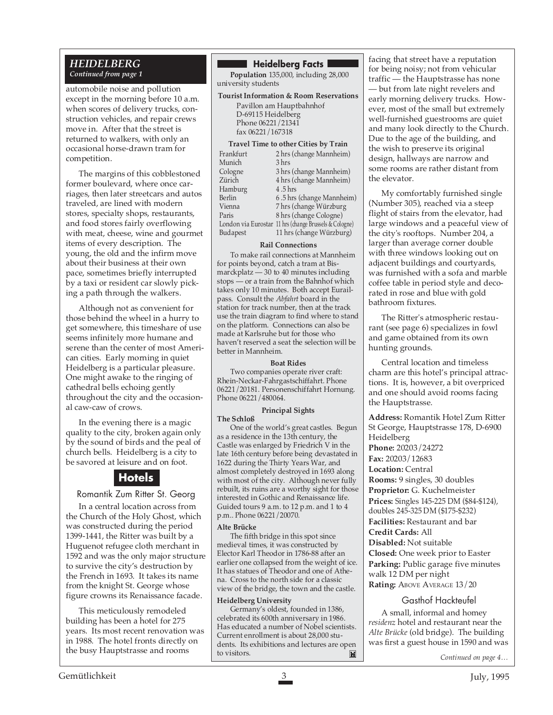#### *HEIDELBERG Continued from page 1*

automobile noise and pollution except in the morning before 10 a.m. when scores of delivery trucks, construction vehicles, and repair crews move in. After that the street is returned to walkers, with only an occasional horse-drawn tram for competition.

The margins of this cobblestoned former boulevard, where once carriages, then later streetcars and autos traveled, are lined with modern stores, specialty shops, restaurants, and food stores fairly overflowing with meat, cheese, wine and gourmet items of every description. The young, the old and the infirm move about their business at their own pace, sometimes briefly interrupted by a taxi or resident car slowly picking a path through the walkers.

Although not as convenient for those behind the wheel in a hurry to get somewhere, this timeshare of use seems infinitely more humane and serene than the center of most American cities. Early morning in quiet Heidelberg is a particular pleasure. One might awake to the ringing of cathedral bells echoing gently throughout the city and the occasional caw-caw of crows.

In the evening there is a magic quality to the city, broken again only by the sound of birds and the peal of church bells. Heidelberg is a city to be savored at leisure and on foot.

## **Hotels**

Romantik Zum Ritter St. Georg

In a central location across from the Church of the Holy Ghost, which was constructed during the period 1399-1441, the Ritter was built by a Huguenot refugee cloth merchant in 1592 and was the only major structure to survive the city's destruction by the French in 1693. It takes its name from the knight St. George whose figure crowns its Renaissance facade.

This meticulously remodeled building has been a hotel for 275 years. Its most recent renovation was in 1988. The hotel fronts directly on the busy Hauptstrasse and rooms

#### **Heidelberg Facts**

**Population** 135,000, including 28,000 university students

#### **Tourist Information & Room Reservations** Pavillon am Hauptbahnhof D-69115 Heidelberg

Phone 06221/21341 fax 06221/167318

| <b>Travel Time to other Cities by Train</b> |                                                        |  |  |
|---------------------------------------------|--------------------------------------------------------|--|--|
| Frankfurt                                   | 2 hrs (change Mannheim)                                |  |  |
| Munich                                      | 3 hrs                                                  |  |  |
| Cologne                                     | 3 hrs (change Mannheim)                                |  |  |
| Zürich                                      | 4 hrs (change Mannheim)                                |  |  |
| Hamburg                                     | 4.5 hrs                                                |  |  |
| Berlin                                      | 6.5 hrs (change Mannheim)                              |  |  |
| Vienna                                      | 7 hrs (change Würzburg                                 |  |  |
| Paris                                       | 8 hrs (change Cologne)                                 |  |  |
|                                             | London via Eurostar 11 hrs (change Brussels & Cologne) |  |  |
| <b>Budapest</b>                             | 11 hrs (change Würzburg)                               |  |  |
|                                             |                                                        |  |  |

#### **Rail Connections**

To make rail connections at Mannheim for points beyond, catch a tram at Bismarckplatz — 30 to 40 minutes including stops — or a train from the Bahnhof which takes only 10 minutes. Both accept Eurailpass. Consult the *Abfahrt* board in the station for track number, then at the track use the train diagram to find where to stand on the platform. Connections can also be made at Karlsruhe but for those who haven't reserved a seat the selection will be better in Mannheim.

#### **Boat Rides**

Two companies operate river craft: Rhein-Neckar-Fahrgastschiffahrt. Phone 06221/20181. Personenschiffahrt Hornung. Phone 06221/480064.

#### **Principal Sights**

**The Schloß**

One of the world's great castles. Begun as a residence in the 13th century, the Castle was enlarged by Friedrich V in the late 16th century before being devastated in 1622 during the Thirty Years War, and almost completely destroyed in 1693 along with most of the city. Although never fully rebuilt, its ruins are a worthy sight for those interested in Gothic and Renaissance life. Guided tours 9 a.m. to 12 p.m. and 1 to 4 p.m.. Phone 06221/20070.

#### **Alte Brücke**

The fifth bridge in this spot since medieval times, it was constructed by Elector Karl Theodor in 1786-88 after an earlier one collapsed from the weight of ice. It has statues of Theodor and one of Athena. Cross to the north side for a classic view of the bridge, the town and the castle.

#### **Heidelberg University**

Germany's oldest, founded in 1386, celebrated its 600th anniversary in 1986. Has educated a number of Nobel scientists. Current enrollment is about 28,000 students. Its exhibitions and lectures are open to visitors.E facing that street have a reputation for being noisy; not from vehicular traffic — the Hauptstrasse has none

— but from late night revelers and early morning delivery trucks. However, most of the small but extremely well-furnished guestrooms are quiet and many look directly to the Church. Due to the age of the building, and the wish to preserve its original design, hallways are narrow and some rooms are rather distant from the elevator.

My comfortably furnished single (Number 305), reached via a steep flight of stairs from the elevator, had large windows and a peaceful view of the city's rooftops. Number 204, a larger than average corner double with three windows looking out on adjacent buildings and courtyards, was furnished with a sofa and marble coffee table in period style and decorated in rose and blue with gold bathroom fixtures.

The Ritter's atmospheric restaurant (see page 6) specializes in fowl and game obtained from its own hunting grounds.

Central location and timeless charm are this hotel's principal attractions. It is, however, a bit overpriced and one should avoid rooms facing the Hauptstrasse.

**Address:** Romantik Hotel Zum Ritter St George, Hauptstrasse 178, D-6900 Heidelberg **Phone:** 20203/24272 **Fax:** 20203/12683 **Location:** Central **Rooms:** 9 singles, 30 doubles **Proprietor:** G. Kuchelmeister **Prices:** Singles 145-225 DM (\$84-\$124), doubles 245-325 DM (\$175-\$232) **Facilities:** Restaurant and bar **Credit Cards:** All **Disabled:** Not suitable **Closed:** One week prior to Easter **Parking:** Public garage five minutes walk 12 DM per night **Rating:** ABOVE AVERAGE  $13/20$ 

#### Gasthof Hackteufel

A small, informal and homey *residenz* hotel and restaurant near the *Alte Brücke* (old bridge). The building was first a guest house in 1590 and was

*Continued on page 4…*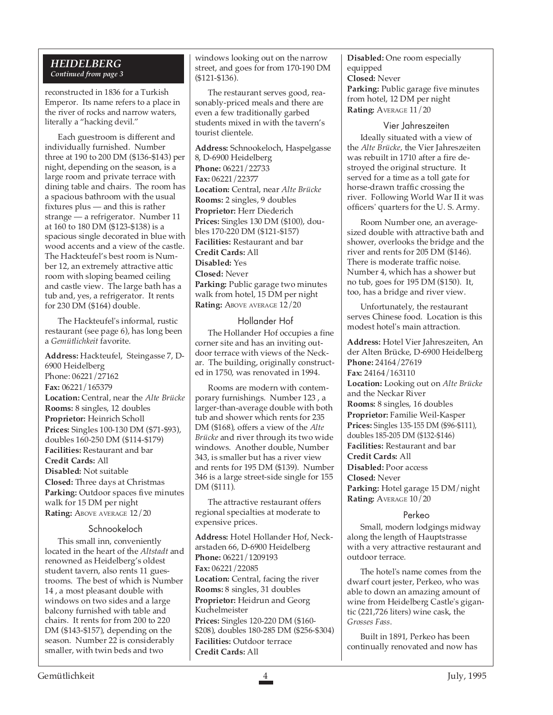#### *HEIDELBERG Continued from page 3*

reconstructed in 1836 for a Turkish Emperor. Its name refers to a place in the river of rocks and narrow waters, literally a "hacking devil."

Each guestroom is different and individually furnished. Number three at 190 to 200 DM (\$136-\$143) per night, depending on the season, is a large room and private terrace with dining table and chairs. The room has a spacious bathroom with the usual fixtures plus — and this is rather strange — a refrigerator. Number 11 at 160 to 180 DM (\$123-\$138) is a spacious single decorated in blue with wood accents and a view of the castle. The Hackteufel's best room is Number 12, an extremely attractive attic room with sloping beamed ceiling and castle view. The large bath has a tub and, yes, a refrigerator. It rents for 230 DM (\$164) double.

The Hackteufel's informal, rustic restaurant (see page 6), has long been a *Gemütlichkeit* favorite.

**Address:** Hackteufel, Steingasse 7, D-6900 Heidelberg Phone: 06221/27162 **Fax:** 06221/165379 **Location:** Central, near the *Alte Brücke* **Rooms:** 8 singles, 12 doubles **Proprietor:** Heinrich Scholl **Prices:** Singles 100-130 DM (\$71-\$93), doubles 160-250 DM (\$114-\$179) **Facilities:** Restaurant and bar **Credit Cards:** All **Disabled:** Not suitable **Closed:** Three days at Christmas **Parking:** Outdoor spaces five minutes walk for 15 DM per night **Rating:** ABOVE AVERAGE  $12/20$ 

#### Schnookeloch

This small inn, conveniently located in the heart of the *Altstadt* and renowned as Heidelberg's oldest student tavern, also rents 11 guestrooms. The best of which is Number 14 , a most pleasant double with windows on two sides and a large balcony furnished with table and chairs. It rents for from 200 to 220 DM (\$143-\$157), depending on the season. Number 22 is considerably smaller, with twin beds and two

windows looking out on the narrow street, and goes for from 170-190 DM (\$121-\$136).

The restaurant serves good, reasonably-priced meals and there are even a few traditionally garbed students mixed in with the tavern's tourist clientele.

**Address:** Schnookeloch, Haspelgasse 8, D-6900 Heidelberg **Phone:** 06221/22733 **Fax:** 06221/22377 **Location:** Central, near *Alte Brücke* **Rooms:** 2 singles, 9 doubles **Proprietor:** Herr Diederich **Prices:** Singles 130 DM (\$100), doubles 170-220 DM (\$121-\$157) **Facilities:** Restaurant and bar **Credit Cards:** All **Disabled:** Yes **Closed:** Never **Parking:** Public garage two minutes walk from hotel, 15 DM per night **Rating:** ABOVE AVERAGE 12/20

#### Hollander Hof

The Hollander Hof occupies a fine corner site and has an inviting outdoor terrace with views of the Neckar. The building, originally constructed in 1750, was renovated in 1994.

Rooms are modern with contemporary furnishings. Number 123 , a larger-than-average double with both tub and shower which rents for 235 DM (\$168), offers a view of the *Alte Brücke* and river through its two wide windows. Another double, Number 343, is smaller but has a river view and rents for 195 DM (\$139). Number 346 is a large street-side single for 155 DM (\$111).

The attractive restaurant offers regional specialties at moderate to expensive prices.

**Address:** Hotel Hollander Hof, Neckarstaden 66, D-6900 Heidelberg **Phone:** 06221/1209193 **Fax:** 06221/22085 **Location:** Central, facing the river **Rooms:** 8 singles, 31 doubles **Proprietor:** Heidrun and Georg Kuchelmeister **Prices:** Singles 120-220 DM (\$160- \$208), doubles 180-285 DM (\$256-\$304) **Facilities:** Outdoor terrace **Credit Cards:** All

**Disabled:** One room especially equipped **Closed:** Never **Parking:** Public garage five minutes from hotel, 12 DM per night **Rating:** AVERAGE 11/20

#### Vier Jahreszeiten

Ideally situated with a view of the *Alte Brücke*, the Vier Jahreszeiten was rebuilt in 1710 after a fire destroyed the original structure. It served for a time as a toll gate for horse-drawn traffic crossing the river. Following World War II it was officers' quarters for the U. S. Army.

Room Number one, an averagesized double with attractive bath and shower, overlooks the bridge and the river and rents for 205 DM (\$146). There is moderate traffic noise. Number 4, which has a shower but no tub, goes for 195 DM (\$150). It, too, has a bridge and river view.

Unfortunately, the restaurant serves Chinese food. Location is this modest hotel's main attraction.

**Address:** Hotel Vier Jahreszeiten, An der Alten Brücke, D-6900 Heidelberg **Phone:** 24164/27619 **Fax:** 24164/163110 **Location:** Looking out on *Alte Brücke* and the Neckar River **Rooms:** 8 singles, 16 doubles **Proprietor:** Familie Weil-Kasper **Prices:** Singles 135-155 DM (\$96-\$111), doubles 185-205 DM (\$132-\$146) **Facilities:** Restaurant and bar **Credit Cards:** All **Disabled:** Poor access **Closed:** Never **Parking:** Hotel garage 15 DM/night **Rating:** AVERAGE 10/20

#### Perkeo

Small, modern lodgings midway along the length of Hauptstrasse with a very attractive restaurant and outdoor terrace.

The hotel's name comes from the dwarf court jester, Perkeo, who was able to down an amazing amount of wine from Heidelberg Castle's gigantic (221,726 liters) wine cask, the *Grosses Fass*.

Built in 1891, Perkeo has been continually renovated and now has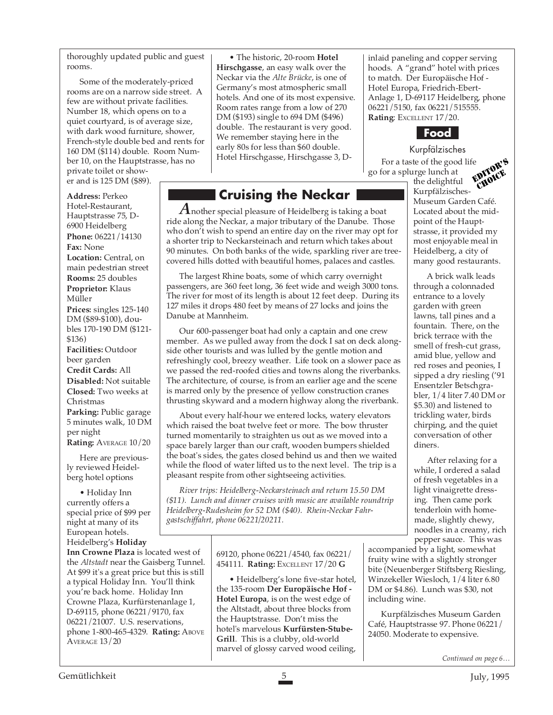thoroughly updated public and guest rooms.

Some of the moderately-priced rooms are on a narrow side street. A few are without private facilities. Number 18, which opens on to a quiet courtyard, is of average size, with dark wood furniture, shower, French-style double bed and rents for 160 DM (\$114) double. Room Number 10, on the Hauptstrasse, has no private toilet or shower and is 125 DM (\$89).

#### **Address:** Perkeo

Hotel-Restaurant, Hauptstrasse 75, D-6900 Heidelberg **Phone:** 06221/14130 **Fax:** None **Location:** Central, on main pedestrian street **Rooms:** 25 doubles **Proprietor:** Klaus Müller **Prices:** singles 125-140 DM (\$89-\$100), doubles 170-190 DM (\$121- \$136) **Facilities:** Outdoor beer garden **Credit Cards:** All **Disabled:** Not suitable **Closed:** Two weeks at Christmas **Parking:** Public garage 5 minutes walk, 10 DM per night **Rating:** AVERAGE 10/20

Here are previously reviewed Heidelberg hotel options

• Holiday Inn currently offers a special price of \$99 per night at many of its European hotels. Heidelberg's **Holiday**

**Inn Crowne Plaza** is located west of the *Altstadt* near the Gaisberg Tunnel. At \$99 it's a great price but this is still a typical Holiday Inn. You'll think you're back home. Holiday Inn Crowne Plaza, Kurfürstenanlage 1, D-69115, phone 06221/9170, fax 06221/21007. U.S. reservations, phone 1-800-465-4329. **Rating:** ABOVE AVERAGE 13/20

• The historic, 20-room **Hotel Hirschgasse**, an easy walk over the Neckar via the *Alte Brücke*, is one of Germany's most atmospheric small hotels. And one of its most expensive. Room rates range from a low of 270 DM (\$193) single to 694 DM (\$496) double. The restaurant is very good. We remember staying here in the early 80s for less than \$60 double. Hotel Hirschgasse, Hirschgasse 3, D-

# **Cruising the Neckar**

*A*nother special pleasure of Heidelberg is taking a boat ride along the Neckar, a major tributary of the Danube. Those who don't wish to spend an entire day on the river may opt for a shorter trip to Neckarsteinach and return which takes about 90 minutes. On both banks of the wide, sparkling river are treecovered hills dotted with beautiful homes, palaces and castles.

The largest Rhine boats, some of which carry overnight passengers, are 360 feet long, 36 feet wide and weigh 3000 tons. The river for most of its length is about 12 feet deep. During its 127 miles it drops 480 feet by means of 27 locks and joins the Danube at Mannheim.

Our 600-passenger boat had only a captain and one crew member. As we pulled away from the dock I sat on deck alongside other tourists and was lulled by the gentle motion and refreshingly cool, breezy weather. Life took on a slower pace as we passed the red-roofed cities and towns along the riverbanks. The architecture, of course, is from an earlier age and the scene is marred only by the presence of yellow construction cranes thrusting skyward and a modern highway along the riverbank.

About every half-hour we entered locks, watery elevators which raised the boat twelve feet or more. The bow thruster turned momentarily to straighten us out as we moved into a space barely larger than our craft, wooden bumpers shielded the boat's sides, the gates closed behind us and then we waited while the flood of water lifted us to the next level. The trip is a pleasant respite from other sightseeing activities.

*River trips: Heidelberg-Neckarsteinach and return 15.50 DM (\$11). Lunch and dinner cruises with music are available roundtrip Heidelberg-Rudesheim for 52 DM (\$40). Rhein-Neckar Fahrgastschiffahrt, phone 06221/20211.*

> 69120, phone 06221/4540, fax 06221/ 454111. **Rating:** EXCELLENT 17/20 **G**

• Heidelberg's lone five-star hotel, the 135-room **Der Europäische Hof - Hotel Europa**, is on the west edge of the Altstadt, about three blocks from the Hauptstrasse. Don't miss the hotel's marvelous **Kurfürsten-Stube-Grill**. This is a clubby, old-world marvel of glossy carved wood ceiling,

inlaid paneling and copper serving hoods. A "grand" hotel with prices to match. Der Europäische Hof - Hotel Europa, Friedrich-Ebert-Anlage 1, D-69117 Heidelberg, phone 06221/5150, fax 06221/515555. **Rating**: EXCELLENT 17/20.



Kurpfälzisches For a taste of the good life go for a splurge lunch at EDITOR'S

the delightful Kurpfälzisches-Museum Garden Café. Located about the midpoint of the Hauptstrasse, it provided my most enjoyable meal in Heidelberg, a city of many good restaurants. CHOICE

A brick walk leads through a colonnaded entrance to a lovely garden with green lawns, tall pines and a fountain. There, on the brick terrace with the smell of fresh-cut grass, amid blue, yellow and red roses and peonies, I sipped a dry riesling ('91 Ensentzler Betschgrabler, 1/4 liter 7.40 DM or \$5.30) and listened to trickling water, birds chirping, and the quiet conversation of other diners.

After relaxing for a while, I ordered a salad of fresh vegetables in a light vinaigrette dressing. Then came pork tenderloin with homemade, slightly chewy, noodles in a creamy, rich pepper sauce. This was

accompanied by a light, somewhat fruity wine with a slightly stronger bite (Neuenberger Stiftsberg Riesling, Winzekeller Wiesloch, 1/4 liter 6.80 DM or \$4.86). Lunch was \$30, not including wine.

Kurpfälzisches Museum Garden Café, Hauptstrasse 97. Phone 06221/ 24050. Moderate to expensive.

*Continued on page 6…*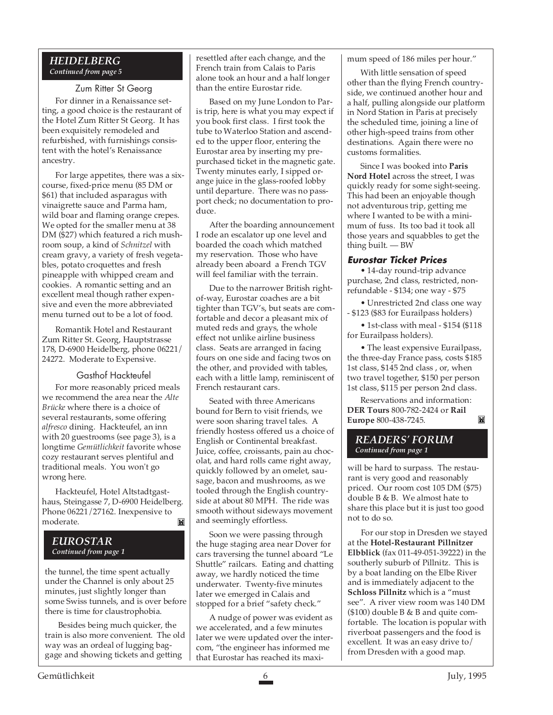#### *HEIDELBERG Continued from page 5*

Zum Ritter St Georg For dinner in a Renaissance setting, a good choice is the restaurant of the Hotel Zum Ritter St Georg. It has been exquisitely remodeled and refurbished, with furnishings consistent with the hotel's Renaissance ancestry.

For large appetites, there was a sixcourse, fixed-price menu (85 DM or \$61) that included asparagus with vinaigrette sauce and Parma ham, wild boar and flaming orange crepes. We opted for the smaller menu at 38 DM (\$27) which featured a rich mushroom soup, a kind of *Schnitzel* with cream gravy, a variety of fresh vegetables, potato croquettes and fresh pineapple with whipped cream and cookies. A romantic setting and an excellent meal though rather expensive and even the more abbreviated menu turned out to be a lot of food.

Romantik Hotel and Restaurant Zum Ritter St. Georg, Hauptstrasse 178, D-6900 Heidelberg, phone 06221/ 24272. Moderate to Expensive.

#### Gasthof Hackteufel

For more reasonably priced meals we recommend the area near the *Alte Brücke* where there is a choice of several restaurants, some offering *alfresco* dining. Hackteufel, an inn with 20 guestrooms (see page 3), is a longtime *Gemütlichkeit* favorite whose cozy restaurant serves plentiful and traditional meals. You won't go wrong here.

Hackteufel, Hotel Altstadtgasthaus, Steingasse 7, D-6900 Heidelberg. Phone 06221/27162. Inexpensive to moderate.M

#### *EUROSTAR Continued from page 1*

the tunnel, the time spent actually under the Channel is only about 25 minutes, just slightly longer than some Swiss tunnels, and is over before there is time for claustrophobia.

Besides being much quicker, the train is also more convenient. The old way was an ordeal of lugging baggage and showing tickets and getting

resettled after each change, and the French train from Calais to Paris alone took an hour and a half longer than the entire Eurostar ride.

Based on my June London to Paris trip, here is what you may expect if you book first class. I first took the tube to Waterloo Station and ascended to the upper floor, entering the Eurostar area by inserting my prepurchased ticket in the magnetic gate. Twenty minutes early, I sipped orange juice in the glass-roofed lobby until departure. There was no passport check; no documentation to produce.

After the boarding announcement I rode an escalator up one level and boarded the coach which matched my reservation. Those who have already been aboard a French TGV will feel familiar with the terrain.

Due to the narrower British rightof-way, Eurostar coaches are a bit tighter than TGV's, but seats are comfortable and decor a pleasant mix of muted reds and grays, the whole effect not unlike airline business class. Seats are arranged in facing fours on one side and facing twos on the other, and provided with tables, each with a little lamp, reminiscent of French restaurant cars.

Seated with three Americans bound for Bern to visit friends, we were soon sharing travel tales. A friendly hostess offered us a choice of English or Continental breakfast. Juice, coffee, croissants, pain au chocolat, and hard rolls came right away, quickly followed by an omelet, sausage, bacon and mushrooms, as we tooled through the English countryside at about 80 MPH. The ride was smooth without sideways movement and seemingly effortless.

Soon we were passing through the huge staging area near Dover for cars traversing the tunnel aboard "Le Shuttle" railcars. Eating and chatting away, we hardly noticed the time underwater. Twenty-five minutes later we emerged in Calais and stopped for a brief "safety check."

A nudge of power was evident as we accelerated, and a few minutes later we were updated over the intercom, "the engineer has informed me that Eurostar has reached its maximum speed of 186 miles per hour."

With little sensation of speed other than the flying French countryside, we continued another hour and a half, pulling alongside our platform in Nord Station in Paris at precisely the scheduled time, joining a line of other high-speed trains from other destinations. Again there were no customs formalities.

Since I was booked into **Paris Nord Hotel** across the street, I was quickly ready for some sight-seeing. This had been an enjoyable though not adventurous trip, getting me where I wanted to be with a minimum of fuss. Its too bad it took all those years and squabbles to get the thing built. — BW

#### **Eurostar Ticket Prices**

• 14-day round-trip advance purchase, 2nd class, restricted, nonrefundable - \$134; one way - \$75

• Unrestricted 2nd class one way - \$123 (\$83 for Eurailpass holders)

• 1st-class with meal - \$154 (\$118 for Eurailpass holders).

• The least expensive Eurailpass, the three-day France pass, costs \$185 1st class, \$145 2nd class , or, when two travel together, \$150 per person 1st class, \$115 per person 2nd class.

Reservations and information: **DER Tours** 800-782-2424 or **Rail** Ĭ. **Europe** 800-438-7245.

#### *READERS' FORUM Continued from page 1*

will be hard to surpass. The restaurant is very good and reasonably priced. Our room cost 105 DM (\$75) double B & B. We almost hate to share this place but it is just too good not to do so.

For our stop in Dresden we stayed at the **Hotel-Restaurant Pillnitzer Elbblick** (fax 011-49-051-39222) in the southerly suburb of Pillnitz. This is by a boat landing on the Elbe River and is immediately adjacent to the **Schloss Pillnitz** which is a "must see". A river view room was 140 DM  $($100)$  double B & B and quite comfortable. The location is popular with riverboat passengers and the food is excellent. It was an easy drive to/ from Dresden with a good map.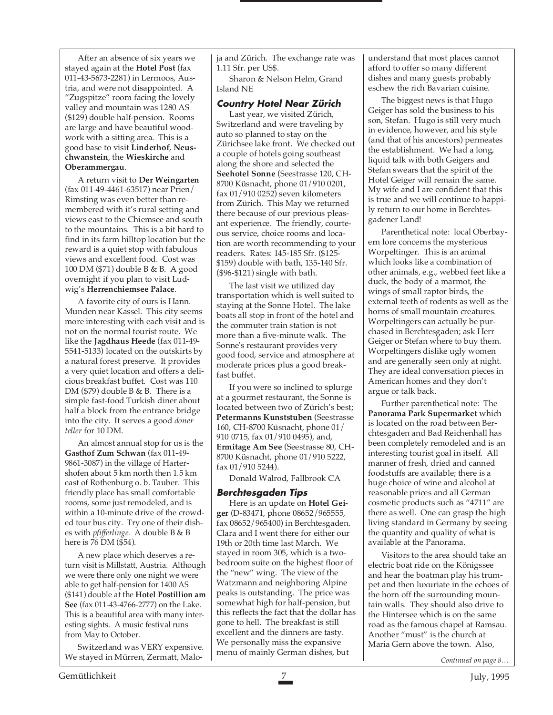After an absence of six years we stayed again at the **Hotel Post** (fax 011-43-5673-2281) in Lermoos, Austria, and were not disappointed. A "Zugspitze" room facing the lovely valley and mountain was 1280 AS (\$129) double half-pension. Rooms are large and have beautiful woodwork with a sitting area. This is a good base to visit **Linderhof**, **Neuschwanstein**, the **Wieskirche** and **Oberammergau**.

A return visit to **Der Weingarten** (fax 011-49-4461-63517) near Prien/ Rimsting was even better than remembered with it's rural setting and views east to the Chiemsee and south to the mountains. This is a bit hard to find in its farm hilltop location but the reward is a quiet stop with fabulous views and excellent food. Cost was 100 DM (\$71) double B & B. A good overnight if you plan to visit Ludwig's **Herrenchiemsee Palace**.

A favorite city of ours is Hann. Munden near Kassel. This city seems more interesting with each visit and is not on the normal tourist route. We like the **Jagdhaus Heede** (fax 011-49- 5541-5133) located on the outskirts by a natural forest preserve. It provides a very quiet location and offers a delicious breakfast buffet. Cost was 110 DM (\$79) double B & B. There is a simple fast-food Turkish diner about half a block from the entrance bridge into the city. It serves a good *doner teller* for 10 DM.

An almost annual stop for us is the **Gasthof Zum Schwan** (fax 011-49- 9861-3087) in the village of Hartershofen about 5 km north then 1.5 km east of Rothenburg o. b. Tauber. This friendly place has small comfortable rooms, some just remodeled, and is within a 10-minute drive of the crowded tour bus city. Try one of their dishes with *pfifferlinge.* A double B & B here is 76 DM (\$54).

A new place which deserves a return visit is Millstatt, Austria. Although we were there only one night we were able to get half-pension for 1400 AS (\$141) double at the **Hotel Postillion am See** (fax 011-43-4766-2777) on the Lake. This is a beautiful area with many interesting sights. A music festival runs from May to October.

Switzerland was VERY expensive. We stayed in Mürren, Zermatt, Maloja and Zürich. The exchange rate was 1.11 Sfr. per US\$.

Sharon & Nelson Helm, Grand Island NE

#### **Country Hotel Near Zürich**

Last year, we visited Zürich, Switzerland and were traveling by auto so planned to stay on the Zürichsee lake front. We checked out a couple of hotels going southeast along the shore and selected the **Seehotel Sonne** (Seestrasse 120, CH-8700 Küsnacht, phone 01/910 0201, fax 01/910 0252) seven kilometers from Zürich. This May we returned there because of our previous pleasant experience. The friendly, courteous service, choice rooms and location are worth recommending to your readers. Rates: 145-185 Sfr. (\$125- \$159) double with bath, 135-140 Sfr. (\$96-\$121) single with bath.

The last visit we utilized day transportation which is well suited to staying at the Sonne Hotel. The lake boats all stop in front of the hotel and the commuter train station is not more than a five-minute walk. The Sonne's restaurant provides very good food, service and atmosphere at moderate prices plus a good breakfast buffet.

If you were so inclined to splurge at a gourmet restaurant, the Sonne is located between two of Zürich's best; **Petermanns Kunststuben** (Seestrasse 160, CH-8700 Küsnacht, phone 01/ 910 0715, fax 01/910 0495), and, **Ermitage Am See** (Seestrasse 80, CH-8700 Küsnacht, phone 01/910 5222, fax 01/910 5244).

Donald Walrod, Fallbrook CA

#### **Berchtesgaden Tips**

Here is an update on **Hotel Geiger** (D-83471, phone 08652/965555, fax 08652/965400) in Berchtesgaden. Clara and I went there for either our 19th or 20th time last March. We stayed in room 305, which is a twobedroom suite on the highest floor of the "new" wing. The view of the Watzmann and neighboring Alpine peaks is outstanding. The price was somewhat high for half-pension, but this reflects the fact that the dollar has gone to hell. The breakfast is still excellent and the dinners are tasty. We personally miss the expansive menu of mainly German dishes, but

understand that most places cannot afford to offer so many different dishes and many guests probably eschew the rich Bavarian cuisine.

The biggest news is that Hugo Geiger has sold the business to his son, Stefan. Hugo is still very much in evidence, however, and his style (and that of his ancestors) permeates the establishment. We had a long, liquid talk with both Geigers and Stefan swears that the spirit of the Hotel Geiger will remain the same. My wife and I are confident that this is true and we will continue to happily return to our home in Berchtesgadener Land!

Parenthetical note: local Oberbayern lore concerns the mysterious Worpeltinger. This is an animal which looks like a combination of other animals, e.g., webbed feet like a duck, the body of a marmot, the wings of small raptor birds, the external teeth of rodents as well as the horns of small mountain creatures. Worpeltingers can actually be purchased in Berchtesgaden; ask Herr Geiger or Stefan where to buy them. Worpeltingers dislike ugly women and are generally seen only at night. They are ideal conversation pieces in American homes and they don't argue or talk back.

Further parenthetical note: The **Panorama Park Supermarket** which is located on the road between Berchtesgaden and Bad Reichenhall has been completely remodeled and is an interesting tourist goal in itself. All manner of fresh, dried and canned foodstuffs are available; there is a huge choice of wine and alcohol at reasonable prices and all German cosmetic products such as "4711" are there as well. One can grasp the high living standard in Germany by seeing the quantity and quality of what is available at the Panorama.

Visitors to the area should take an electric boat ride on the Königssee and hear the boatman play his trumpet and then luxuriate in the echoes of the horn off the surrounding mountain walls. They should also drive to the Hintersee which is on the same road as the famous chapel at Ramsau. Another "must" is the church at Maria Gern above the town. Also,

*Continued on page 8…*